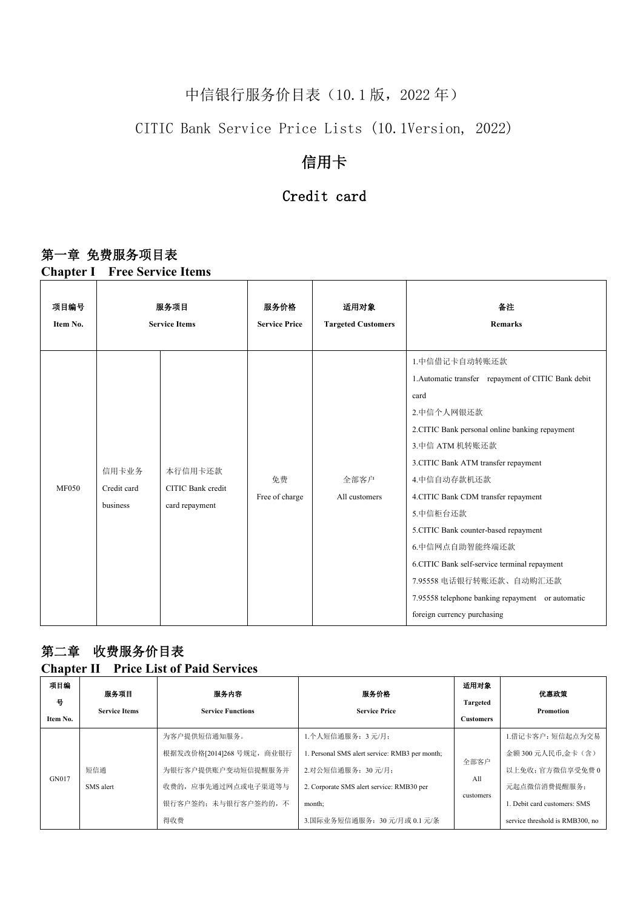# 中信银行服务价目表 (10.1 版, 2022 年)

### CITIC Bank Service Price Lists (10.1Version, 2022)

## 信用卡

#### Credit card

#### 第一章 免费服务项目表

**Chapter I Free Service Items**

| 项目编号         | 服务项目                             |                                                | 服务价格                 | 适用对象                      | 备注                                                                                                                                                                                                                                                                                                                                                                                                                                                                                              |  |  |
|--------------|----------------------------------|------------------------------------------------|----------------------|---------------------------|-------------------------------------------------------------------------------------------------------------------------------------------------------------------------------------------------------------------------------------------------------------------------------------------------------------------------------------------------------------------------------------------------------------------------------------------------------------------------------------------------|--|--|
| Item No.     | <b>Service Items</b>             |                                                | <b>Service Price</b> | <b>Targeted Customers</b> | <b>Remarks</b>                                                                                                                                                                                                                                                                                                                                                                                                                                                                                  |  |  |
| <b>MF050</b> | 信用卡业务<br>Credit card<br>business | 本行信用卡还款<br>CITIC Bank credit<br>card repayment | 免费<br>Free of charge | 全部客户<br>All customers     | 1.中信借记卡自动转账还款<br>1. Automatic transfer repayment of CITIC Bank debit<br>card<br>2.中信个人网银还款<br>2.CITIC Bank personal online banking repayment<br>3.中信 ATM 机转账还款<br>3.CITIC Bank ATM transfer repayment<br>4.中信自动存款机还款<br>4.CITIC Bank CDM transfer repayment<br>5.中信柜台还款<br>5.CITIC Bank counter-based repayment<br>6.中信网点自助智能终端还款<br>6.CITIC Bank self-service terminal repayment<br>7.95558 电话银行转账还款、自动购汇还款<br>7.95558 telephone banking repayment or automatic<br>foreign currency purchasing |  |  |

## 第二章 收费服务价目表

#### **Chapter IIPrice List of Paid Services**

| 项目编<br>븅<br>Item No. | 服务项目<br><b>Service Items</b>                | 服务内容<br><b>Service Functions</b> | 服务价格<br><b>Service Price</b>                   | 适用对象<br>Targeted<br><b>Customers</b> | 优惠政策<br>Promotion               |
|----------------------|---------------------------------------------|----------------------------------|------------------------------------------------|--------------------------------------|---------------------------------|
| GN017                |                                             | 为客户提供短信通知服务。                     | 1.个人短信通服务: 3元/月;                               |                                      | 1.借记卡客户:短信起点为交易                 |
|                      |                                             | 根据发改价格[2014]268 号规定, 商业银行        | 1. Personal SMS alert service: RMB3 per month; |                                      | 金额 300 元人民币,金卡(含)               |
|                      | 短信通                                         | 为银行客户提供账户变动短信提醒服务并               | 2.对公短信通服务: 30元/月;                              | 全部客户                                 | 以上免收; 官方微信享受免费 0                |
|                      | SMS alert                                   | 收费的, 应事先通过网点或电子渠道等与              | 2. Corporate SMS alert service: RMB30 per      | All                                  | 元起点微信消费提醒服务;                    |
|                      | customers<br>银行客户签约; 未与银行客户签约的, 不<br>month; | L. Debit card customers: SMS     |                                                |                                      |                                 |
|                      |                                             | 得收费                              | 3.国际业务短信通服务: 30元/月或 0.1 元/条                    |                                      | service threshold is RMB300, no |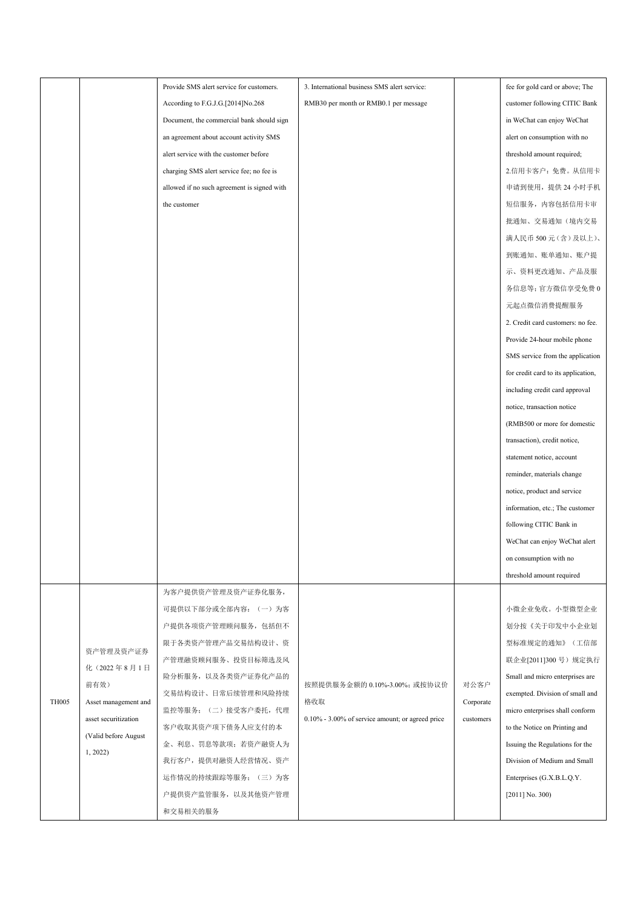|              |                      | Provide SMS alert service for customers.    | 3. International business SMS alert service:     |           | fee for gold card or above; The     |
|--------------|----------------------|---------------------------------------------|--------------------------------------------------|-----------|-------------------------------------|
|              |                      | According to F.G.J.G.[2014]No.268           | RMB30 per month or RMB0.1 per message            |           | customer following CITIC Bank       |
|              |                      | Document, the commercial bank should sign   |                                                  |           | in WeChat can enjoy WeChat          |
|              |                      | an agreement about account activity SMS     |                                                  |           | alert on consumption with no        |
|              |                      | alert service with the customer before      |                                                  |           | threshold amount required;          |
|              |                      | charging SMS alert service fee; no fee is   |                                                  |           | 2.信用卡客户: 免费。从信用卡                    |
|              |                      | allowed if no such agreement is signed with |                                                  |           | 申请到使用, 提供 24 小时手机                   |
|              |                      | the customer                                |                                                  |           | 短信服务, 内容包括信用卡审                      |
|              |                      |                                             |                                                  |           | 批通知、交易通知(境内交易                       |
|              |                      |                                             |                                                  |           | 满人民币 500 元 (含) 及以上)、                |
|              |                      |                                             |                                                  |           | 到账通知、账单通知、账户提                       |
|              |                      |                                             |                                                  |           | 示、资料更改通知、产品及服                       |
|              |                      |                                             |                                                  |           | 务信息等;官方微信享受免费0                      |
|              |                      |                                             |                                                  |           | 元起点微信消费提醒服务                         |
|              |                      |                                             |                                                  |           | 2. Credit card customers: no fee.   |
|              |                      |                                             |                                                  |           | Provide 24-hour mobile phone        |
|              |                      |                                             |                                                  |           | SMS service from the application    |
|              |                      |                                             |                                                  |           | for credit card to its application, |
|              |                      |                                             |                                                  |           | including credit card approval      |
|              |                      |                                             |                                                  |           | notice, transaction notice          |
|              |                      |                                             |                                                  |           | (RMB500 or more for domestic        |
|              |                      |                                             |                                                  |           | transaction), credit notice,        |
|              |                      |                                             |                                                  |           | statement notice, account           |
|              |                      |                                             |                                                  |           | reminder, materials change          |
|              |                      |                                             |                                                  |           | notice, product and service         |
|              |                      |                                             |                                                  |           | information, etc.; The customer     |
|              |                      |                                             |                                                  |           | following CITIC Bank in             |
|              |                      |                                             |                                                  |           | WeChat can enjoy WeChat alert       |
|              |                      |                                             |                                                  |           | on consumption with no              |
|              |                      |                                             |                                                  |           | threshold amount required           |
|              |                      | 为客户提供资产管理及资产证券化服务,                          |                                                  |           |                                     |
|              |                      | 可提供以下部分或全部内容: (一)为客                         |                                                  |           | 小微企业免收。小型微型企业                       |
|              |                      | 户提供各项资产管理顾问服务, 包括但不                         |                                                  |           | 划分按《关于印发中小企业划                       |
|              |                      | 限于各类资产管理产品交易结构设计、资                          |                                                  |           | 型标准规定的通知》(工信部                       |
|              | 资产管理及资产证券            | 产管理融资顾问服务、投资目标筛选及风                          |                                                  |           | 联企业[2011]300号)规定执行                  |
|              | 化(2022年8月1日          | 险分析服务, 以及各类资产证券化产品的                         |                                                  |           | Small and micro enterprises are     |
|              | 前有效)                 | 交易结构设计、日常后续管理和风险持续                          | 按照提供服务金额的 0.10%-3.00%; 或按协议价                     | 对公客户      | exempted. Division of small and     |
| <b>TH005</b> | Asset management and | 监控等服务; (二)接受客户委托, 代理                        | 格收取                                              | Corporate | micro enterprises shall conform     |
|              | asset securitization | 客户收取其资产项下债务人应支付的本                           | 0.10% - 3.00% of service amount; or agreed price | customers | to the Notice on Printing and       |
|              | (Valid before August | 金、利息、罚息等款项; 若资产融资人为                         |                                                  |           | Issuing the Regulations for the     |
|              | 1, 2022              | 我行客户, 提供对融资人经营情况、资产                         |                                                  |           | Division of Medium and Small        |
|              |                      | 运作情况的持续跟踪等服务; (三)为客                         |                                                  |           | Enterprises (G.X.B.L.Q.Y.           |
|              |                      | 户提供资产监管服务, 以及其他资产管理                         |                                                  |           | $[2011]$ No. 300)                   |
|              |                      | 和交易相关的服务                                    |                                                  |           |                                     |
|              |                      |                                             |                                                  |           |                                     |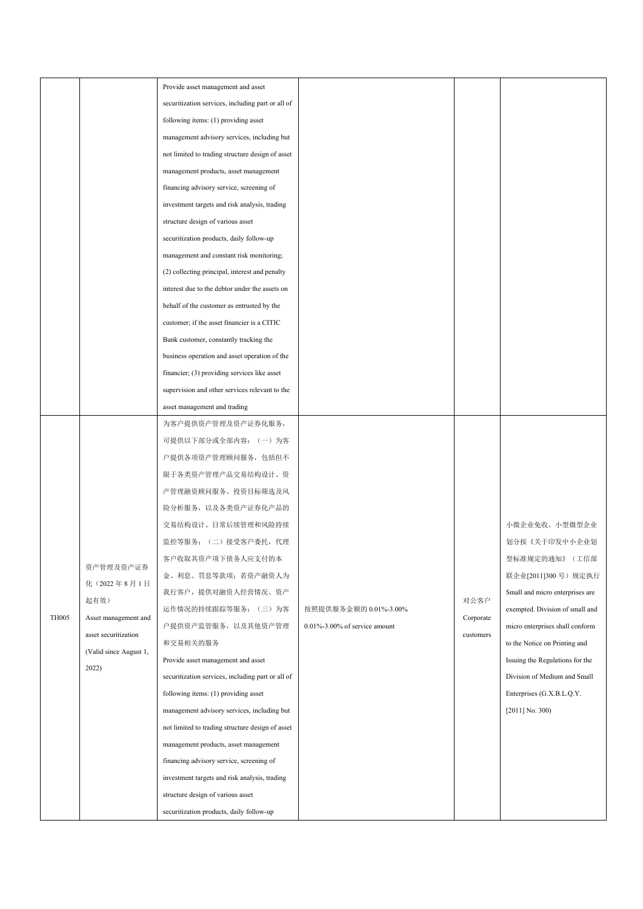|                                 | Provide asset management and asset                |                                   |           |                                 |
|---------------------------------|---------------------------------------------------|-----------------------------------|-----------|---------------------------------|
|                                 | securitization services, including part or all of |                                   |           |                                 |
|                                 | following items: (1) providing asset              |                                   |           |                                 |
|                                 | management advisory services, including but       |                                   |           |                                 |
|                                 | not limited to trading structure design of asset  |                                   |           |                                 |
|                                 | management products, asset management             |                                   |           |                                 |
|                                 | financing advisory service, screening of          |                                   |           |                                 |
|                                 | investment targets and risk analysis, trading     |                                   |           |                                 |
|                                 | structure design of various asset                 |                                   |           |                                 |
|                                 | securitization products, daily follow-up          |                                   |           |                                 |
|                                 | management and constant risk monitoring;          |                                   |           |                                 |
|                                 | (2) collecting principal, interest and penalty    |                                   |           |                                 |
|                                 | interest due to the debtor under the assets on    |                                   |           |                                 |
|                                 | behalf of the customer as entrusted by the        |                                   |           |                                 |
|                                 | customer; if the asset financier is a CITIC       |                                   |           |                                 |
|                                 | Bank customer, constantly tracking the            |                                   |           |                                 |
|                                 | business operation and asset operation of the     |                                   |           |                                 |
|                                 | financier; (3) providing services like asset      |                                   |           |                                 |
|                                 | supervision and other services relevant to the    |                                   |           |                                 |
|                                 | asset management and trading                      |                                   |           |                                 |
|                                 | 为客户提供资产管理及资产证券化服务,                                |                                   |           |                                 |
|                                 | 可提供以下部分或全部内容: (一) 为客                              |                                   |           |                                 |
|                                 | 户提供各项资产管理顾问服务, 包括但不                               |                                   |           |                                 |
|                                 | 限于各类资产管理产品交易结构设计、资                                |                                   |           |                                 |
|                                 | 产管理融资顾问服务、投资目标筛选及风                                |                                   |           |                                 |
|                                 | 险分析服务, 以及各类资产证券化产品的                               |                                   |           |                                 |
|                                 | 交易结构设计、日常后续管理和风险持续                                |                                   |           | 小微企业免收。小型微型企业                   |
|                                 | 监控等服务; (二)接受客户委托,代理                               |                                   |           | 划分按《关于印发中小企业划                   |
|                                 | 客户收取其资产项下债务人应支付的本                                 |                                   |           | 型标准规定的通知》(工信部                   |
| 资产管理及资产证券                       | 金、利息、罚息等款项; 若资产融资人为                               |                                   |           | 联企业[2011]300号)规定执行              |
| 化(2022年8月1日                     | 我行客户, 提供对融资人经营情况、资产                               |                                   |           | Small and micro enterprises are |
| 起有效)                            | 运作情况的持续跟踪等服务; (三) 为客                              | 按照提供服务金额的 0.01%-3.00%             | 对公客户      | exempted. Division of small and |
| Asset management and            | 户提供资产监管服务, 以及其他资产管理                               | $0.01\%$ -3.00% of service amount | Corporate | micro enterprises shall conform |
| asset securitization            | 和交易相关的服务                                          |                                   | customers | to the Notice on Printing and   |
| (Valid since August 1,<br>2022) | Provide asset management and asset                |                                   |           | Issuing the Regulations for the |
|                                 | securitization services, including part or all of |                                   |           | Division of Medium and Small    |
|                                 | following items: (1) providing asset              |                                   |           | Enterprises (G.X.B.L.Q.Y.       |
|                                 | management advisory services, including but       |                                   |           | $[2011]$ No. 300)               |
|                                 | not limited to trading structure design of asset  |                                   |           |                                 |
|                                 | management products, asset management             |                                   |           |                                 |
|                                 | financing advisory service, screening of          |                                   |           |                                 |
|                                 | investment targets and risk analysis, trading     |                                   |           |                                 |
|                                 | structure design of various asset                 |                                   |           |                                 |
|                                 | securitization products, daily follow-up          |                                   |           |                                 |
|                                 |                                                   |                                   |           |                                 |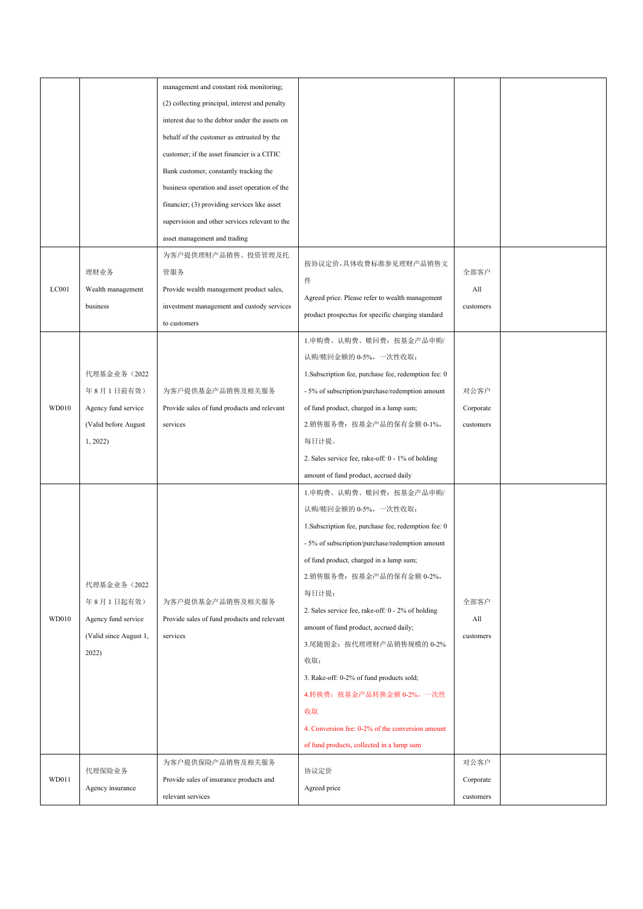|       |                        | management and constant risk monitoring;       |                                                      |           |  |
|-------|------------------------|------------------------------------------------|------------------------------------------------------|-----------|--|
|       |                        | (2) collecting principal, interest and penalty |                                                      |           |  |
|       |                        | interest due to the debtor under the assets on |                                                      |           |  |
|       |                        | behalf of the customer as entrusted by the     |                                                      |           |  |
|       |                        | customer; if the asset financier is a CITIC    |                                                      |           |  |
|       |                        | Bank customer, constantly tracking the         |                                                      |           |  |
|       |                        | business operation and asset operation of the  |                                                      |           |  |
|       |                        | financier; (3) providing services like asset   |                                                      |           |  |
|       |                        | supervision and other services relevant to the |                                                      |           |  |
|       |                        | asset management and trading                   |                                                      |           |  |
|       |                        | 为客户提供理财产品销售、投资管理及托                             |                                                      |           |  |
|       | 理财业务                   | 管服务                                            | 按协议定价,具体收费标准参见理财产品销售文                                | 全部客户      |  |
| LCO01 | Wealth management      | Provide wealth management product sales,       | 件                                                    | All       |  |
|       | business               | investment management and custody services     | Agreed price. Please refer to wealth management      | customers |  |
|       |                        | to customers                                   | product prospectus for specific charging standard    |           |  |
|       |                        |                                                | 1.申购费、认购费、赎回费: 按基金产品申购/                              |           |  |
|       |                        |                                                | 认购/赎回金额的 0-5%, 一次性收取;                                |           |  |
|       |                        |                                                |                                                      |           |  |
|       | 代理基金业务 (2022           |                                                | 1. Subscription fee, purchase fee, redemption fee: 0 |           |  |
|       | 年8月1日前有效)              | 为客户提供基金产品销售及相关服务                               | - 5% of subscription/purchase/redemption amount      | 对公客户      |  |
| WD010 | Agency fund service    | Provide sales of fund products and relevant    | of fund product, charged in a lump sum;              | Corporate |  |
|       | (Valid before August   | services                                       | 2.销售服务费: 按基金产品的保有金额 0-1%,                            | customers |  |
|       | 1, 2022                |                                                | 每日计提。                                                |           |  |
|       |                        |                                                | 2. Sales service fee, rake-off: 0 - 1% of holding    |           |  |
|       |                        |                                                | amount of fund product, accrued daily                |           |  |
|       |                        |                                                | 1.申购费、认购费、赎回费: 按基金产品申购/                              |           |  |
|       |                        |                                                | 认购/赎回金额的 0-5%, 一次性收取;                                |           |  |
|       |                        |                                                | 1. Subscription fee, purchase fee, redemption fee: 0 |           |  |
|       |                        |                                                | - 5% of subscription/purchase/redemption amount      |           |  |
|       |                        |                                                | of fund product, charged in a lump sum;              |           |  |
|       |                        |                                                | 2.销售服务费: 按基金产品的保有金额 0-2%,                            |           |  |
|       | 代理基金业务 (2022           |                                                | 每日计提;                                                |           |  |
|       | 年8月1日起有效)              | 为客户提供基金产品销售及相关服务                               | 2. Sales service fee, rake-off: 0 - 2% of holding    | 全部客户      |  |
| WD010 | Agency fund service    | Provide sales of fund products and relevant    | amount of fund product, accrued daily;               | All       |  |
|       | (Valid since August 1, | services                                       | 3.尾随佣金: 按代理理财产品销售规模的 0-2%                            | customers |  |
|       | 2022)                  |                                                | 收取;                                                  |           |  |
|       |                        |                                                | 3. Rake-off: 0-2% of fund products sold;             |           |  |
|       |                        |                                                | 4.转换费: 按基金产品转换金额 0-2%, 一次性                           |           |  |
|       |                        |                                                | 收取                                                   |           |  |
|       |                        |                                                | 4. Conversion fee: 0-2% of the conversion amount     |           |  |
|       |                        |                                                |                                                      |           |  |
|       |                        |                                                | of fund products, collected in a lump sum            |           |  |
|       | 代理保险业务                 | 为客户提供保险产品销售及相关服务                               | 协议定价                                                 | 对公客户      |  |
| WD011 | Agency insurance       | Provide sales of insurance products and        | Agreed price                                         | Corporate |  |
|       |                        | relevant services                              |                                                      | customers |  |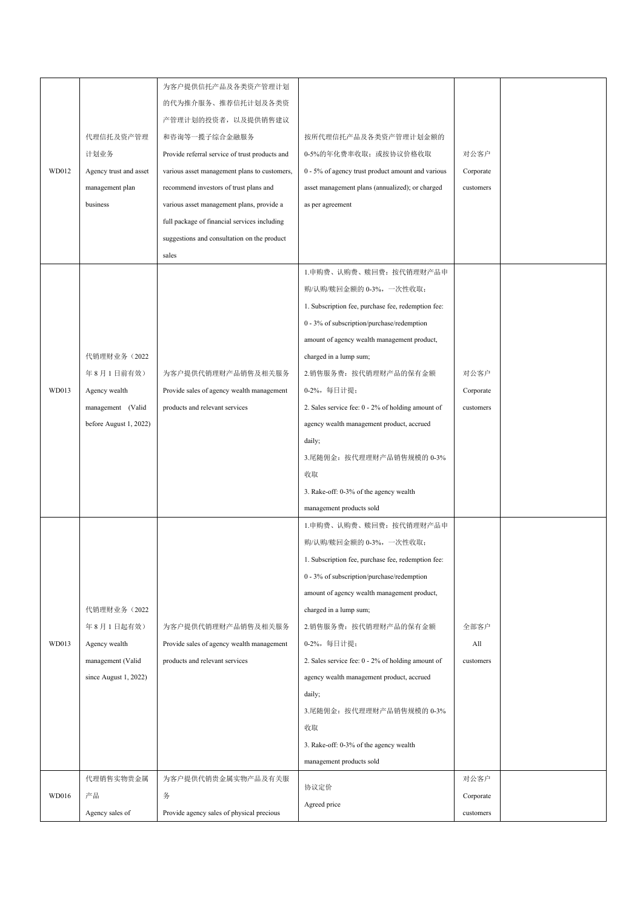|       |                        | 为客户提供信托产品及各类资产管理计划                             |                                                    |           |  |
|-------|------------------------|------------------------------------------------|----------------------------------------------------|-----------|--|
|       |                        |                                                |                                                    |           |  |
|       |                        | 的代为推介服务、推荐信托计划及各类资                             |                                                    |           |  |
|       |                        | 产管理计划的投资者, 以及提供销售建议                            |                                                    |           |  |
|       | 代理信托及资产管理              | 和咨询等一揽子综合金融服务                                  | 按所代理信托产品及各类资产管理计划金额的                               |           |  |
|       | 计划业务                   | Provide referral service of trust products and | 0-5%的年化费率收取; 或按协议价格收取                              | 对公客户      |  |
| WD012 | Agency trust and asset | various asset management plans to customers,   | 0 - 5% of agency trust product amount and various  | Corporate |  |
|       | management plan        | recommend investors of trust plans and         | asset management plans (annualized); or charged    | customers |  |
|       | business               | various asset management plans, provide a      | as per agreement                                   |           |  |
|       |                        | full package of financial services including   |                                                    |           |  |
|       |                        | suggestions and consultation on the product    |                                                    |           |  |
|       |                        | sales                                          |                                                    |           |  |
|       |                        |                                                | 1.申购费、认购费、赎回费: 按代销理财产品申                            |           |  |
|       |                        |                                                | 购/认购/赎回金额的 0-3%, 一次性收取;                            |           |  |
|       |                        |                                                | 1. Subscription fee, purchase fee, redemption fee: |           |  |
|       |                        |                                                | 0 - 3% of subscription/purchase/redemption         |           |  |
|       |                        |                                                | amount of agency wealth management product,        |           |  |
|       | 代销理财业务 (2022           |                                                | charged in a lump sum;                             |           |  |
|       | 年8月1日前有效)              | 为客户提供代销理财产品销售及相关服务                             | 2.销售服务费: 按代销理财产品的保有金额                              | 对公客户      |  |
| WD013 | Agency wealth          | Provide sales of agency wealth management      | 0-2%, 每日计提;                                        | Corporate |  |
|       | management (Valid      | products and relevant services                 | 2. Sales service fee: 0 - 2% of holding amount of  | customers |  |
|       | before August 1, 2022) |                                                | agency wealth management product, accrued          |           |  |
|       |                        |                                                | daily;                                             |           |  |
|       |                        |                                                | 3.尾随佣金: 按代理理财产品销售规模的 0-3%                          |           |  |
|       |                        |                                                | 收取                                                 |           |  |
|       |                        |                                                | 3. Rake-off: 0-3% of the agency wealth             |           |  |
|       |                        |                                                | management products sold                           |           |  |
|       |                        |                                                | 1.申购费、认购费、赎回费: 按代销理财产品申                            |           |  |
|       |                        |                                                | 购/认购/赎回金额的 0-3%, 一次性收取;                            |           |  |
|       |                        |                                                |                                                    |           |  |
|       |                        |                                                | 1. Subscription fee, purchase fee, redemption fee: |           |  |
|       |                        |                                                | 0 - 3% of subscription/purchase/redemption         |           |  |
|       |                        |                                                | amount of agency wealth management product,        |           |  |
|       | 代销理财业务 (2022           |                                                | charged in a lump sum;                             |           |  |
|       | 年8月1日起有效)              | 为客户提供代销理财产品销售及相关服务                             | 2.销售服务费: 按代销理财产品的保有金额                              | 全部客户      |  |
| WD013 | Agency wealth          | Provide sales of agency wealth management      | 0-2%, 每日计提;                                        | All       |  |
|       | management (Valid      | products and relevant services                 | 2. Sales service fee: 0 - 2% of holding amount of  | customers |  |
|       | since August 1, 2022)  |                                                | agency wealth management product, accrued          |           |  |
|       |                        |                                                | daily;                                             |           |  |
|       |                        |                                                | 3.尾随佣金: 按代理理财产品销售规模的 0-3%                          |           |  |
|       |                        |                                                | 收取                                                 |           |  |
|       |                        |                                                | 3. Rake-off: 0-3% of the agency wealth             |           |  |
|       |                        |                                                | management products sold                           |           |  |
|       | 代理销售实物贵金属              | 为客户提供代销贵金属实物产品及有关服                             | 协议定价                                               | 对公客户      |  |
| WD016 | 产品                     | 务                                              | Agreed price                                       | Corporate |  |
|       | Agency sales of        | Provide agency sales of physical precious      |                                                    | customers |  |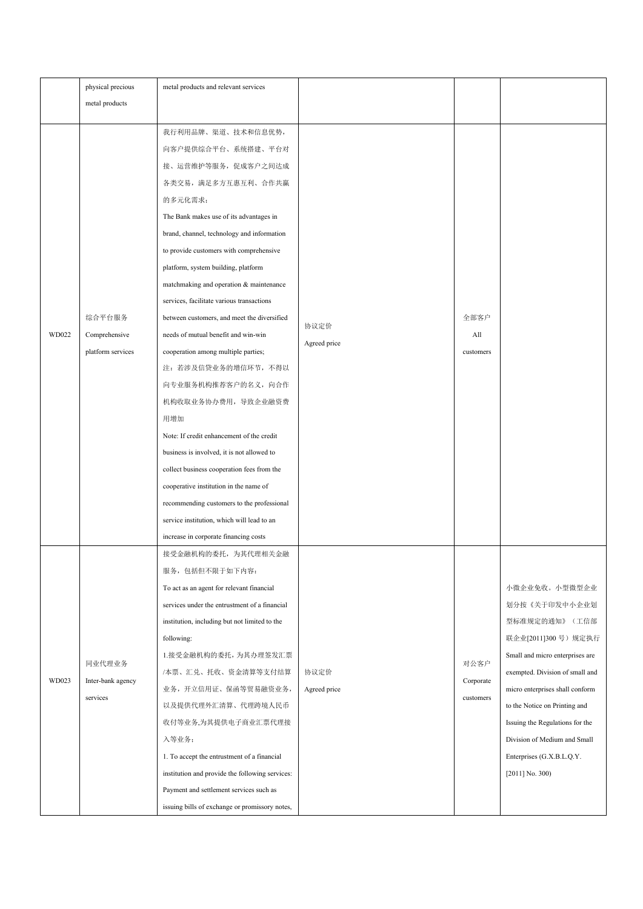|       | physical precious   | metal products and relevant services            |              |           |                                 |
|-------|---------------------|-------------------------------------------------|--------------|-----------|---------------------------------|
|       | metal products      |                                                 |              |           |                                 |
|       |                     |                                                 |              |           |                                 |
|       |                     | 我行利用品牌、渠道、技术和信息优势,                              |              |           |                                 |
|       |                     | 向客户提供综合平台、系统搭建、平台对                              |              |           |                                 |
|       |                     | 接、运营维护等服务, 促成客户之间达成                             |              |           |                                 |
|       |                     | 各类交易,满足多方互惠互利、合作共赢                              |              |           |                                 |
|       |                     | 的多元化需求;                                         |              |           |                                 |
|       |                     | The Bank makes use of its advantages in         |              |           |                                 |
|       |                     | brand, channel, technology and information      |              |           |                                 |
|       |                     | to provide customers with comprehensive         |              |           |                                 |
|       |                     | platform, system building, platform             |              |           |                                 |
|       |                     | matchmaking and operation & maintenance         |              |           |                                 |
|       |                     | services, facilitate various transactions       |              |           |                                 |
|       | 综合平台服务              | between customers, and meet the diversified     | 协议定价         | 全部客户      |                                 |
| WD022 | Comprehensive       | needs of mutual benefit and win-win             | Agreed price | All       |                                 |
|       | platform services   | cooperation among multiple parties;             |              | customers |                                 |
|       |                     | 注: 若涉及信贷业务的增信环节, 不得以                            |              |           |                                 |
|       | 向专业服务机构推荐客户的名义, 向合作 |                                                 |              |           |                                 |
|       |                     | 机构收取业务协办费用, 导致企业融资费                             |              |           |                                 |
|       |                     | 用增加                                             |              |           |                                 |
|       |                     | Note: If credit enhancement of the credit       |              |           |                                 |
|       |                     | business is involved, it is not allowed to      |              |           |                                 |
|       |                     | collect business cooperation fees from the      |              |           |                                 |
|       |                     | cooperative institution in the name of          |              |           |                                 |
|       |                     | recommending customers to the professional      |              |           |                                 |
|       |                     | service institution, which will lead to an      |              |           |                                 |
|       |                     | increase in corporate financing costs           |              |           |                                 |
|       |                     | 接受金融机构的委托, 为其代理相关金融                             |              |           |                                 |
|       |                     | 服务,包括但不限于如下内容:                                  |              |           |                                 |
|       |                     | To act as an agent for relevant financial       |              |           | 小微企业免收。小型微型企业                   |
|       |                     | services under the entrustment of a financial   |              |           | 划分按《关于印发中小企业划                   |
|       |                     | institution, including but not limited to the   |              |           | 型标准规定的通知》(工信部                   |
|       |                     | following:                                      |              |           | 联企业[2011]300号)规定执行              |
|       |                     | 1.接受金融机构的委托,为其办理签发汇票                            |              |           | Small and micro enterprises are |
|       | 同业代理业务              | /本票、汇兑、托收、资金清算等支付结算                             | 协议定价         | 对公客户      | exempted. Division of small and |
| WD023 | Inter-bank agency   | 业务,开立信用证、保函等贸易融资业务,                             | Agreed price | Corporate | micro enterprises shall conform |
|       | services            | 以及提供代理外汇清算、代理跨境人民币                              |              | customers | to the Notice on Printing and   |
|       |                     | 收付等业务,为其提供电子商业汇票代理接                             |              |           | Issuing the Regulations for the |
|       |                     | 入等业务;                                           |              |           | Division of Medium and Small    |
|       |                     | 1. To accept the entrustment of a financial     |              |           | Enterprises (G.X.B.L.Q.Y.       |
|       |                     | institution and provide the following services: |              |           | $[2011]$ No. 300)               |
|       |                     | Payment and settlement services such as         |              |           |                                 |
|       |                     | issuing bills of exchange or promissory notes,  |              |           |                                 |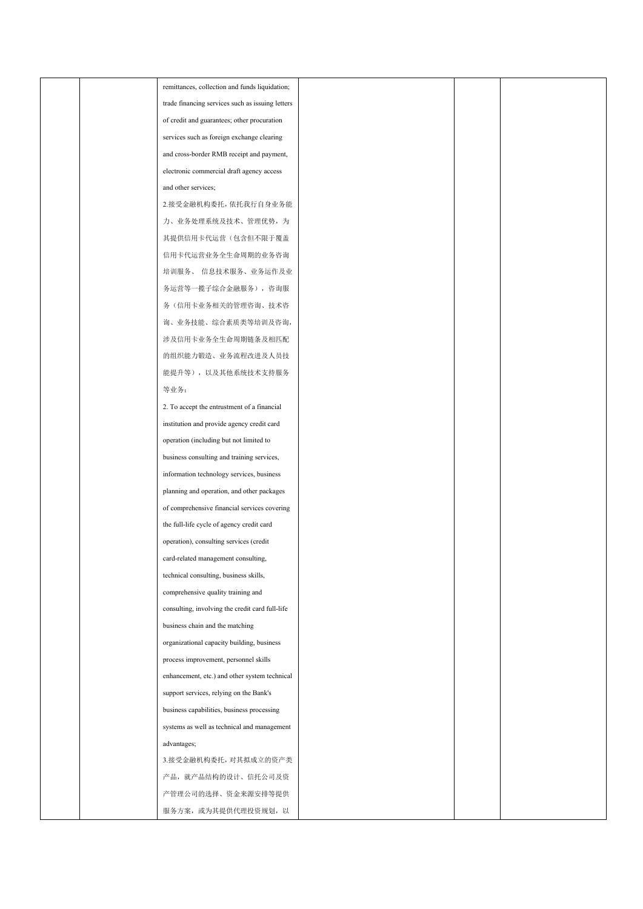|  | remittances, collection and funds liquidation;   |  |  |
|--|--------------------------------------------------|--|--|
|  | trade financing services such as issuing letters |  |  |
|  | of credit and guarantees; other procuration      |  |  |
|  | services such as foreign exchange clearing       |  |  |
|  | and cross-border RMB receipt and payment,        |  |  |
|  | electronic commercial draft agency access        |  |  |
|  | and other services;                              |  |  |
|  | 2.接受金融机构委托, 依托我行自身业务能                            |  |  |
|  | 力、业务处理系统及技术、管理优势, 为                              |  |  |
|  | 其提供信用卡代运营(包含但不限于覆盖                               |  |  |
|  | 信用卡代运营业务全生命周期的业务咨询                               |  |  |
|  | 培训服务、 信息技术服务、业务运作及业                              |  |  |
|  | 务运营等一揽子综合金融服务), 咨询服                              |  |  |
|  | 务(信用卡业务相关的管理咨询、技术咨                               |  |  |
|  | 询、业务技能、综合素质类等培训及咨询,                              |  |  |
|  | 涉及信用卡业务全生命周期链条及相匹配                               |  |  |
|  | 的组织能力锻造、业务流程改进及人员技                               |  |  |
|  | 能提升等), 以及其他系统技术支持服务                              |  |  |
|  | 等业务;                                             |  |  |
|  | 2. To accept the entrustment of a financial      |  |  |
|  | institution and provide agency credit card       |  |  |
|  | operation (including but not limited to          |  |  |
|  | business consulting and training services,       |  |  |
|  | information technology services, business        |  |  |
|  | planning and operation, and other packages       |  |  |
|  | of comprehensive financial services covering     |  |  |
|  | the full-life cycle of agency credit card        |  |  |
|  | operation), consulting services (credit          |  |  |
|  | card-related management consulting,              |  |  |
|  | technical consulting, business skills,           |  |  |
|  | comprehensive quality training and               |  |  |
|  | consulting, involving the credit card full-life  |  |  |
|  | business chain and the matching                  |  |  |
|  | organizational capacity building, business       |  |  |
|  | process improvement, personnel skills            |  |  |
|  | enhancement, etc.) and other system technical    |  |  |
|  | support services, relying on the Bank's          |  |  |
|  | business capabilities, business processing       |  |  |
|  | systems as well as technical and management      |  |  |
|  | advantages;                                      |  |  |
|  | 3.接受金融机构委托, 对其拟成立的资产类                            |  |  |
|  | 产品, 就产品结构的设计、信托公司及资                              |  |  |
|  | 产管理公司的选择、资金来源安排等提供                               |  |  |
|  | 服务方案, 或为其提供代理投资规划, 以                             |  |  |
|  |                                                  |  |  |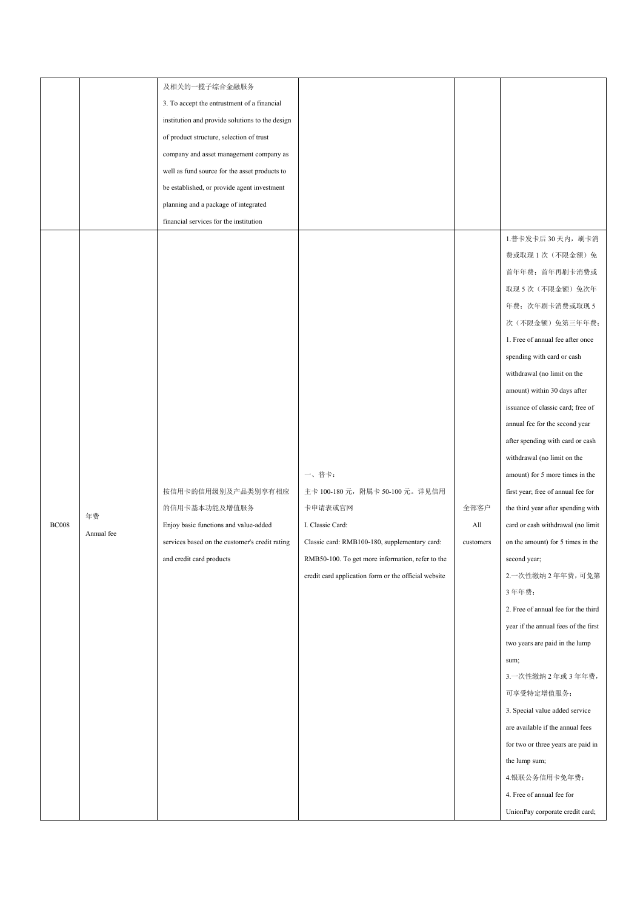|              |            | 及相关的一揽子综合金融服务                                   |                                                      |           |                                      |  |
|--------------|------------|-------------------------------------------------|------------------------------------------------------|-----------|--------------------------------------|--|
|              |            | 3. To accept the entrustment of a financial     |                                                      |           |                                      |  |
|              |            | institution and provide solutions to the design |                                                      |           |                                      |  |
|              |            | of product structure, selection of trust        |                                                      |           |                                      |  |
|              |            | company and asset management company as         |                                                      |           |                                      |  |
|              |            | well as fund source for the asset products to   |                                                      |           |                                      |  |
|              |            | be established, or provide agent investment     |                                                      |           |                                      |  |
|              |            | planning and a package of integrated            |                                                      |           |                                      |  |
|              |            | financial services for the institution          |                                                      |           |                                      |  |
|              |            |                                                 |                                                      |           | 1.普卡发卡后 30天内, 刷卡消                    |  |
|              |            |                                                 |                                                      |           | 费或取现1次(不限金额)免                        |  |
|              |            |                                                 |                                                      |           | 首年年费; 首年再刷卡消费或                       |  |
|              |            |                                                 |                                                      |           | 取现 5 次 (不限金额) 免次年                    |  |
|              |            |                                                 |                                                      |           | 年费;次年刷卡消费或取现5                        |  |
|              |            |                                                 |                                                      |           | 次(不限金额)免第三年年费;                       |  |
|              |            |                                                 |                                                      |           | 1. Free of annual fee after once     |  |
|              |            |                                                 |                                                      |           | spending with card or cash           |  |
|              |            |                                                 |                                                      |           | withdrawal (no limit on the          |  |
|              |            |                                                 |                                                      |           | amount) within 30 days after         |  |
|              |            |                                                 |                                                      |           | issuance of classic card; free of    |  |
|              |            |                                                 |                                                      |           | annual fee for the second year       |  |
|              |            |                                                 |                                                      |           | after spending with card or cash     |  |
|              |            |                                                 |                                                      |           | withdrawal (no limit on the          |  |
|              |            |                                                 | 一、普卡:                                                |           | amount) for 5 more times in the      |  |
|              |            | 按信用卡的信用级别及产品类别享有相应                              | 主卡 100-180 元, 附属卡 50-100 元。详见信用                      |           | first year; free of annual fee for   |  |
|              |            | 的信用卡基本功能及增值服务                                   | 卡申请表或官网                                              | 全部客户      | the third year after spending with   |  |
| <b>BC008</b> | 年费         | Enjoy basic functions and value-added           | I. Classic Card:                                     | All       | card or cash withdrawal (no limit    |  |
|              | Annual fee | services based on the customer's credit rating  | Classic card: RMB100-180, supplementary card:        | customers | on the amount) for 5 times in the    |  |
|              |            | and credit card products                        | RMB50-100. To get more information, refer to the     |           | second year;                         |  |
|              |            |                                                 | credit card application form or the official website |           | 2. 一次性缴纳 2 年年费, 可免第                  |  |
|              |            |                                                 |                                                      |           | 3年年费;                                |  |
|              |            |                                                 |                                                      |           | 2. Free of annual fee for the third  |  |
|              |            |                                                 |                                                      |           | year if the annual fees of the first |  |
|              |            |                                                 |                                                      |           | two years are paid in the lump       |  |
|              |            |                                                 |                                                      |           | sum;                                 |  |
|              |            |                                                 |                                                      |           | 3. 一次性缴纳 2年或 3年年费,                   |  |
|              |            |                                                 |                                                      |           | 可享受特定增值服务;                           |  |
|              |            |                                                 |                                                      |           | 3. Special value added service       |  |
|              |            |                                                 |                                                      |           | are available if the annual fees     |  |
|              |            |                                                 |                                                      |           | for two or three years are paid in   |  |
|              |            |                                                 |                                                      |           | the lump sum;                        |  |
|              |            |                                                 |                                                      |           | 4.银联公务信用卡免年费;                        |  |
|              |            |                                                 |                                                      |           | 4. Free of annual fee for            |  |
|              |            |                                                 |                                                      |           | UnionPay corporate credit card;      |  |
|              |            |                                                 |                                                      |           |                                      |  |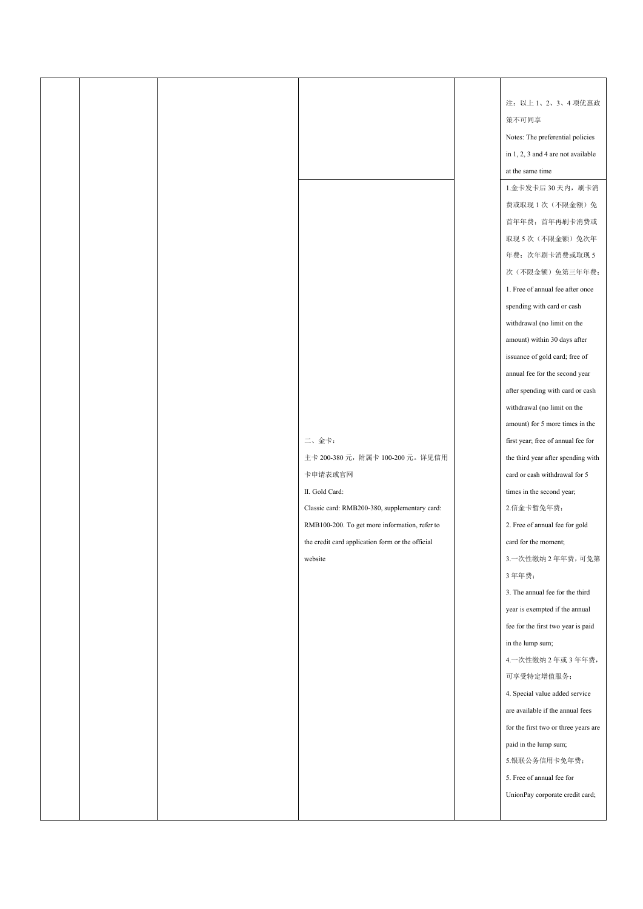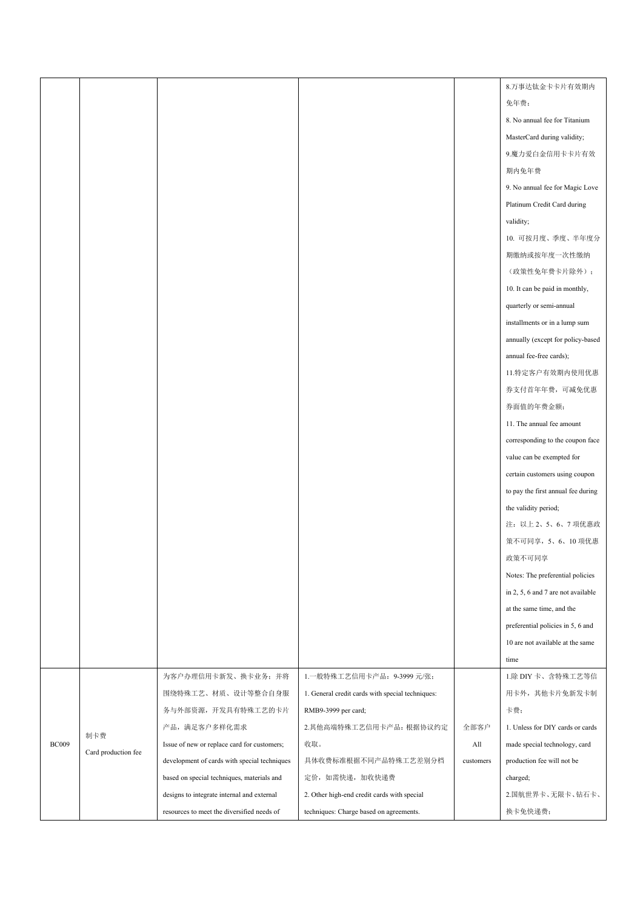|              |                     |                                              |                                                  |           | 8.万事达钛金卡卡片有效期内                     |
|--------------|---------------------|----------------------------------------------|--------------------------------------------------|-----------|------------------------------------|
|              |                     |                                              |                                                  |           | 免年费;                               |
|              |                     |                                              |                                                  |           | 8. No annual fee for Titanium      |
|              |                     |                                              |                                                  |           | MasterCard during validity;        |
|              |                     |                                              |                                                  |           | 9.魔力爱白金信用卡卡片有效                     |
|              |                     |                                              |                                                  |           | 期内免年费                              |
|              |                     |                                              |                                                  |           | 9. No annual fee for Magic Love    |
|              |                     |                                              |                                                  |           | Platinum Credit Card during        |
|              |                     |                                              |                                                  |           | validity;                          |
|              |                     |                                              |                                                  |           | 10. 可按月度、季度、半年度分                   |
|              |                     |                                              |                                                  |           | 期缴纳或按年度一次性缴纳                       |
|              |                     |                                              |                                                  |           | (政策性免年费卡片除外);                      |
|              |                     |                                              |                                                  |           | 10. It can be paid in monthly,     |
|              |                     |                                              |                                                  |           | quarterly or semi-annual           |
|              |                     |                                              |                                                  |           | installments or in a lump sum      |
|              |                     |                                              |                                                  |           | annually (except for policy-based  |
|              |                     |                                              |                                                  |           | annual fee-free cards);            |
|              |                     |                                              |                                                  |           | 11.特定客户有效期内使用优惠                    |
|              |                     |                                              |                                                  |           | 券支付首年年费, 可减免优惠                     |
|              |                     |                                              |                                                  |           | 券面值的年费金额;                          |
|              |                     |                                              |                                                  |           | 11. The annual fee amount          |
|              |                     |                                              |                                                  |           | corresponding to the coupon face   |
|              |                     |                                              |                                                  |           | value can be exempted for          |
|              |                     |                                              |                                                  |           | certain customers using coupon     |
|              |                     |                                              |                                                  |           | to pay the first annual fee during |
|              |                     |                                              |                                                  |           | the validity period;               |
|              |                     |                                              |                                                  |           | 注: 以上2、5、6、7 项优惠政                  |
|              |                     |                                              |                                                  |           | 策不可同享, 5、6、10 项优惠                  |
|              |                     |                                              |                                                  |           | 政策不可同享                             |
|              |                     |                                              |                                                  |           | Notes: The preferential policies   |
|              |                     |                                              |                                                  |           | in 2, 5, 6 and 7 are not available |
|              |                     |                                              |                                                  |           | at the same time, and the          |
|              |                     |                                              |                                                  |           | preferential policies in 5, 6 and  |
|              |                     |                                              |                                                  |           | 10 are not available at the same   |
|              |                     |                                              |                                                  |           | time                               |
|              |                     | 为客户办理信用卡新发、换卡业务;并将                           | 1. 一般特殊工艺信用卡产品: 9-3999 元/张;                      |           | 1.除 DIY 卡、含特殊工艺等信                  |
|              |                     | 围绕特殊工艺、材质、设计等整合自身服                           | 1. General credit cards with special techniques: |           | 用卡外, 其他卡片免新发卡制                     |
|              |                     | 务与外部资源, 开发具有特殊工艺的卡片                          | RMB9-3999 per card;                              |           | 卡费;                                |
|              |                     | 产品,满足客户多样化需求                                 | 2.其他高端特殊工艺信用卡产品: 根据协议约定                          | 全部客户      | 1. Unless for DIY cards or cards   |
| <b>BC009</b> | 制卡费                 | Issue of new or replace card for customers;  | 收取。                                              | All       | made special technology, card      |
|              | Card production fee | development of cards with special techniques | 具体收费标准根据不同产品特殊工艺差别分档                             | customers | production fee will not be         |
|              |                     | based on special techniques, materials and   | 定价,如需快递,加收快递费                                    |           | charged;                           |
|              |                     | designs to integrate internal and external   | 2. Other high-end credit cards with special      |           | 2.国航世界卡、无限卡、钻石卡、                   |
|              |                     | resources to meet the diversified needs of   | techniques: Charge based on agreements.          |           | 换卡免快递费;                            |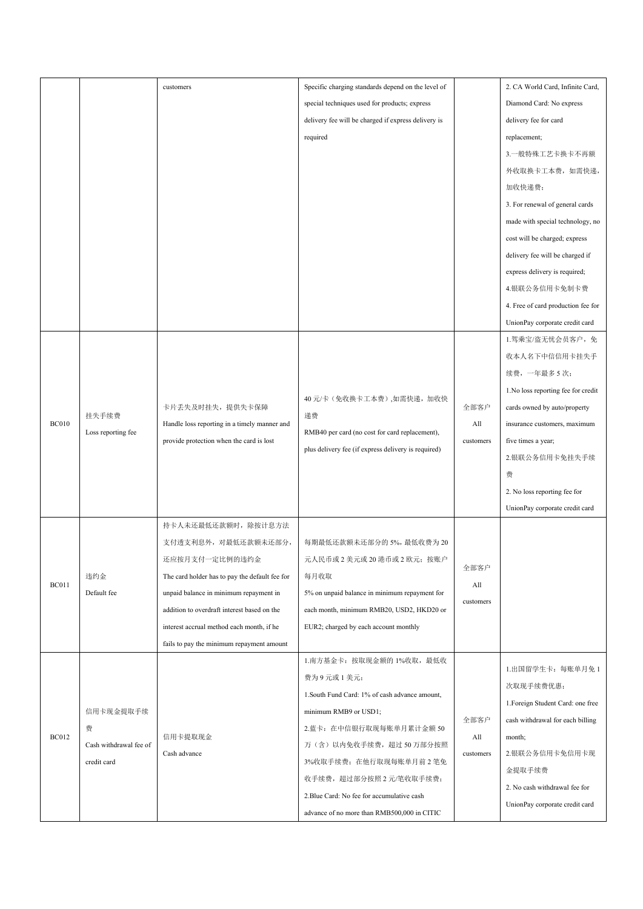|              |                        | customers                                      | Specific charging standards depend on the level of  |           | 2. CA World Card, Infinite Card,    |
|--------------|------------------------|------------------------------------------------|-----------------------------------------------------|-----------|-------------------------------------|
|              |                        |                                                | special techniques used for products; express       |           | Diamond Card: No express            |
|              |                        |                                                | delivery fee will be charged if express delivery is |           | delivery fee for card               |
|              |                        |                                                | required                                            |           | replacement;                        |
|              |                        |                                                |                                                     |           | 3.一般特殊工艺卡换卡不再额                      |
|              |                        |                                                |                                                     |           | 外收取换卡工本费,如需快递,                      |
|              |                        |                                                |                                                     |           | 加收快递费;                              |
|              |                        |                                                |                                                     |           | 3. For renewal of general cards     |
|              |                        |                                                |                                                     |           | made with special technology, no    |
|              |                        |                                                |                                                     |           | cost will be charged; express       |
|              |                        |                                                |                                                     |           | delivery fee will be charged if     |
|              |                        |                                                |                                                     |           | express delivery is required;       |
|              |                        |                                                |                                                     |           | 4.银联公务信用卡免制卡费                       |
|              |                        |                                                |                                                     |           | 4. Free of card production fee for  |
|              |                        |                                                |                                                     |           | UnionPay corporate credit card      |
|              |                        |                                                |                                                     |           | 1.驾乘宝/盗无忧会员客户, 免                    |
|              |                        |                                                |                                                     |           | 收本人名下中信信用卡挂失手                       |
|              |                        |                                                |                                                     |           | 续费,一年最多5次;                          |
|              |                        |                                                |                                                     |           | 1. No loss reporting fee for credit |
|              |                        | 卡片丢失及时挂失, 提供失卡保障                               | 40 元/卡(免收换卡工本费),如需快递, 加收快                           | 全部客户      | cards owned by auto/property        |
| <b>BC010</b> | 挂失手续费                  | Handle loss reporting in a timely manner and   | 递费                                                  | All       | insurance customers, maximum        |
|              | Loss reporting fee     | provide protection when the card is lost       | RMB40 per card (no cost for card replacement),      | customers | five times a year;                  |
|              |                        |                                                | plus delivery fee (if express delivery is required) |           | 2.银联公务信用卡免挂失手续                      |
|              |                        |                                                |                                                     |           | 费                                   |
|              |                        |                                                |                                                     |           | 2. No loss reporting fee for        |
|              |                        |                                                |                                                     |           | UnionPay corporate credit card      |
|              |                        | 持卡人未还最低还款额时, 除按计息方法                            |                                                     |           |                                     |
|              |                        | 支付透支利息外, 对最低还款额未还部分,                           | 每期最低还款额未还部分的5%,最低收费为20                              |           |                                     |
|              |                        | 还应按月支付一定比例的违约金                                 | 元人民币或2美元或20港币或2欧元;按账户                               |           |                                     |
|              | 违约金                    | The card holder has to pay the default fee for | 每月收取                                                | 全部客户      |                                     |
| <b>BC011</b> | Default fee            | unpaid balance in minimum repayment in         | 5% on unpaid balance in minimum repayment for       | All       |                                     |
|              |                        | addition to overdraft interest based on the    | each month, minimum RMB20, USD2, HKD20 or           | customers |                                     |
|              |                        | interest accrual method each month, if he      | EUR2; charged by each account monthly               |           |                                     |
|              |                        | fails to pay the minimum repayment amount      |                                                     |           |                                     |
|              |                        |                                                | 1. 南方基金卡: 按取现金额的 1%收取, 最低收                          |           |                                     |
|              |                        |                                                | 费为9元或1美元;                                           |           | 1.出国留学生卡: 每账单月免1                    |
|              |                        |                                                | 1. South Fund Card: 1% of cash advance amount,      |           | 次取现手续费优惠;                           |
|              | 信用卡现金提取手续              |                                                | minimum RMB9 or USD1;                               |           | 1. Foreign Student Card: one free   |
|              | 费                      |                                                | 2. 蓝卡: 在中信银行取现每账单月累计金额 50                           | 全部客户      | cash withdrawal for each billing    |
| <b>BC012</b> | Cash withdrawal fee of | 信用卡提取现金                                        | 万(含)以内免收手续费,超过50万部分按照                               | All       | month;                              |
|              | credit card            | Cash advance                                   | 3%收取手续费; 在他行取现每账单月前2笔免                              | customers | 2.银联公务信用卡免信用卡现                      |
|              |                        |                                                | 收手续费,超过部分按照2元/笔收取手续费;                               |           | 金提取手续费                              |
|              |                        |                                                | 2. Blue Card: No fee for accumulative cash          |           | 2. No cash withdrawal fee for       |
|              |                        |                                                | advance of no more than RMB500,000 in CITIC         |           | UnionPay corporate credit card      |
|              |                        |                                                |                                                     |           |                                     |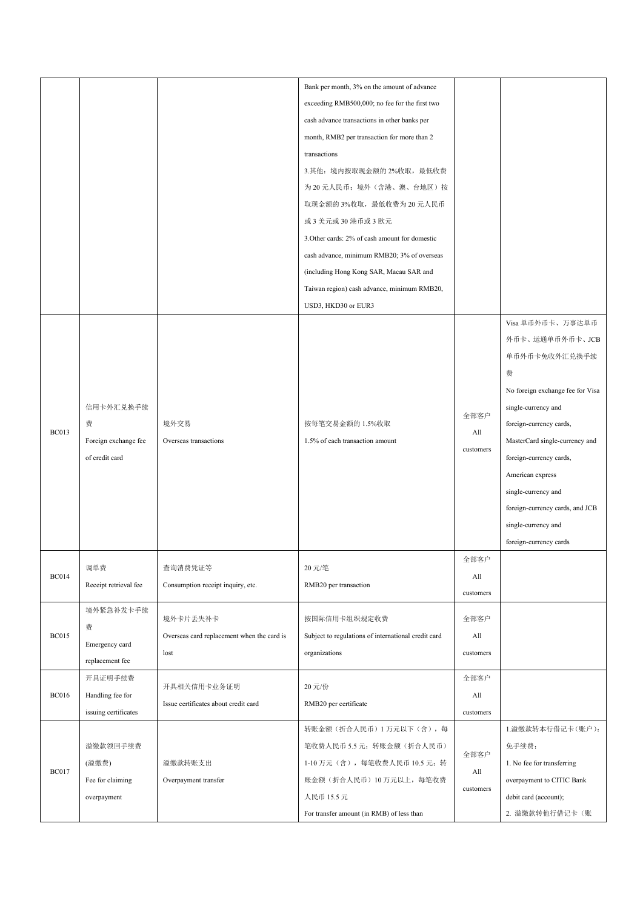|              |                       |                                            | Bank per month, 3% on the amount of advance         |                          |                                  |
|--------------|-----------------------|--------------------------------------------|-----------------------------------------------------|--------------------------|----------------------------------|
|              |                       |                                            | exceeding RMB500,000; no fee for the first two      |                          |                                  |
|              |                       |                                            | cash advance transactions in other banks per        |                          |                                  |
|              |                       |                                            | month, RMB2 per transaction for more than 2         |                          |                                  |
|              |                       |                                            | transactions                                        |                          |                                  |
|              |                       |                                            | 3.其他: 境内按取现金额的 2%收取, 最低收费                           |                          |                                  |
|              |                       |                                            | 为20元人民币;境外(含港、澳、台地区)按                               |                          |                                  |
|              |                       |                                            | 取现金额的3%收取,最低收费为20元人民币                               |                          |                                  |
|              |                       |                                            | 或3美元或30港币或3欧元                                       |                          |                                  |
|              |                       |                                            | 3. Other cards: 2% of cash amount for domestic      |                          |                                  |
|              |                       |                                            | cash advance, minimum RMB20; 3% of overseas         |                          |                                  |
|              |                       |                                            | (including Hong Kong SAR, Macau SAR and             |                          |                                  |
|              |                       |                                            | Taiwan region) cash advance, minimum RMB20,         |                          |                                  |
|              |                       |                                            | USD3, HKD30 or EUR3                                 |                          |                                  |
|              |                       |                                            |                                                     |                          | Visa 单币外币卡、万事达单币                 |
|              |                       |                                            |                                                     |                          | 外币卡、运通单币外币卡、JCB                  |
|              |                       |                                            |                                                     |                          | 单币外币卡免收外汇兑换手续                    |
|              |                       |                                            |                                                     |                          | 费                                |
|              |                       |                                            |                                                     |                          |                                  |
|              |                       |                                            |                                                     |                          | No foreign exchange fee for Visa |
|              | 信用卡外汇兑换手续             |                                            |                                                     | 全部客户                     | single-currency and              |
| <b>BC013</b> | 费                     | 境外交易                                       | 按每笔交易金额的 1.5%收取                                     | All                      | foreign-currency cards,          |
|              | Foreign exchange fee  | Overseas transactions                      | 1.5% of each transaction amount                     | customers                | MasterCard single-currency and   |
|              | of credit card        |                                            |                                                     |                          | foreign-currency cards,          |
|              |                       |                                            |                                                     |                          | American express                 |
|              |                       |                                            |                                                     |                          | single-currency and              |
|              |                       |                                            |                                                     |                          | foreign-currency cards, and JCB  |
|              |                       |                                            |                                                     |                          | single-currency and              |
|              |                       |                                            |                                                     |                          | foreign-currency cards           |
|              | 调单费                   | 查询消费凭证等                                    | 20 元/笔                                              | 全部客户                     |                                  |
| <b>BC014</b> | Receipt retrieval fee | Consumption receipt inquiry, etc.          | RMB20 per transaction                               | All                      |                                  |
|              |                       |                                            |                                                     | customers                |                                  |
|              | 境外紧急补发卡手续             | 境外卡片丢失补卡                                   | 按国际信用卡组织规定收费                                        | 全部客户                     |                                  |
| <b>BC015</b> | 费                     | Overseas card replacement when the card is | Subject to regulations of international credit card | All                      |                                  |
|              | Emergency card        |                                            |                                                     |                          |                                  |
|              | replacement fee       | lost                                       | organizations                                       | customers                |                                  |
|              | 开具证明手续费               |                                            | 20 元/份<br>RMB20 per certificate                     | 全部客户                     |                                  |
| <b>BC016</b> | Handling fee for      | 开具相关信用卡业务证明                                |                                                     | All                      |                                  |
|              | issuing certificates  | Issue certificates about credit card       |                                                     | customers                |                                  |
|              |                       |                                            | 转账金额(折合人民币)1万元以下(含),每                               |                          | 1.溢缴款转本行借记卡(账户):                 |
|              | 溢缴款领回手续费              |                                            | 笔收费人民币5.5元;转账金额(折合人民币)                              | 全部客户<br>All<br>customers | 免手续费;                            |
| <b>BC017</b> | (溢缴费)                 | 溢缴款转账支出                                    | 1-10 万元 (含), 每笔收费人民币 10.5 元; 转                      |                          | 1. No fee for transferring       |
|              | Fee for claiming      | Overpayment transfer                       | 账金额(折合人民币) 10 万元以上, 每笔收费                            |                          | overpayment to CITIC Bank        |
|              | overpayment           |                                            | 人民币 15.5 元                                          |                          | debit card (account);            |
|              |                       |                                            | For transfer amount (in RMB) of less than           |                          | 2. 溢缴款转他行借记卡(账                   |
|              |                       |                                            |                                                     |                          |                                  |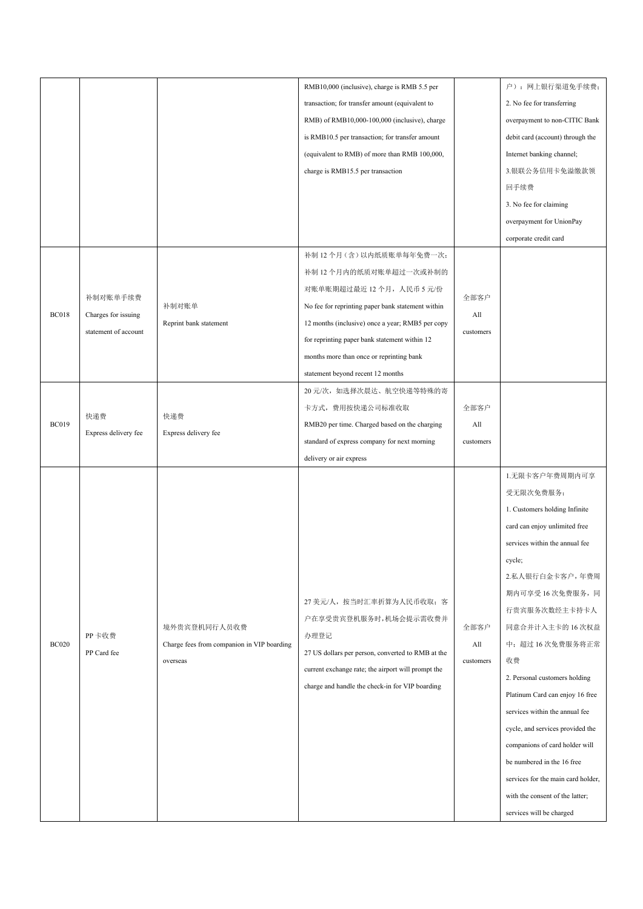|              |                      |                                                                        | RMB10,000 (inclusive), charge is RMB 5.5 per       |           | 户): 网上银行渠道免手续费;                    |
|--------------|----------------------|------------------------------------------------------------------------|----------------------------------------------------|-----------|------------------------------------|
|              |                      |                                                                        | transaction; for transfer amount (equivalent to    |           | 2. No fee for transferring         |
|              |                      |                                                                        | RMB) of RMB10,000-100,000 (inclusive), charge      |           | overpayment to non-CITIC Bank      |
|              |                      |                                                                        | is RMB10.5 per transaction; for transfer amount    |           | debit card (account) through the   |
|              |                      |                                                                        | (equivalent to RMB) of more than RMB 100,000,      |           | Internet banking channel;          |
|              |                      |                                                                        | charge is RMB15.5 per transaction                  |           | 3.银联公务信用卡免溢缴款领                     |
|              |                      |                                                                        |                                                    |           | 回手续费                               |
|              |                      |                                                                        |                                                    |           | 3. No fee for claiming             |
|              |                      |                                                                        |                                                    |           | overpayment for UnionPay           |
|              |                      |                                                                        |                                                    |           | corporate credit card              |
|              |                      |                                                                        | 补制 12 个月(含)以内纸质账单每年免费一次;                           |           |                                    |
|              |                      |                                                                        | 补制 12 个月内的纸质对账单超过一次或补制的                            |           |                                    |
|              |                      |                                                                        | 对账单账期超过最近12个月, 人民币5元/份                             |           |                                    |
|              | 补制对账单手续费             | 补制对账单                                                                  | No fee for reprinting paper bank statement within  | 全部客户      |                                    |
| <b>BC018</b> | Charges for issuing  | Reprint bank statement                                                 | 12 months (inclusive) once a year; RMB5 per copy   | All       |                                    |
|              | statement of account |                                                                        | for reprinting paper bank statement within 12      | customers |                                    |
|              |                      |                                                                        | months more than once or reprinting bank           |           |                                    |
|              |                      |                                                                        | statement beyond recent 12 months                  |           |                                    |
|              |                      |                                                                        | 20 元/次, 如选择次晨达、航空快递等特殊的寄                           |           |                                    |
|              |                      |                                                                        | 卡方式, 费用按快递公司标准收取                                   | 全部客户      |                                    |
| <b>BC019</b> | 快递费                  | 快递费<br>Express delivery fee                                            | RMB20 per time. Charged based on the charging      | All       |                                    |
|              | Express delivery fee |                                                                        | standard of express company for next morning       | customers |                                    |
|              |                      |                                                                        | delivery or air express                            |           |                                    |
|              |                      |                                                                        |                                                    |           | 1.无限卡客户年费周期内可享                     |
|              |                      |                                                                        |                                                    |           | 受无限次免费服务;                          |
|              |                      |                                                                        |                                                    |           | 1. Customers holding Infinite      |
|              |                      |                                                                        |                                                    |           | card can enjoy unlimited free      |
|              |                      |                                                                        |                                                    |           | services within the annual fee     |
|              |                      |                                                                        |                                                    |           |                                    |
|              |                      |                                                                        |                                                    |           | cycle;<br>2.私人银行白金卡客户,年费周          |
|              |                      | 境外贵宾登机同行人员收费<br>Charge fees from companion in VIP boarding<br>overseas |                                                    |           | 期内可享受16次免费服务,同                     |
|              |                      |                                                                        | 27 美元/人, 按当时汇率折算为人民币收取; 客                          |           |                                    |
|              |                      |                                                                        | 户在享受贵宾登机服务时,机场会提示需收费并                              |           | 行贵宾服务次数经主卡持卡人                      |
|              | PP卡收费                |                                                                        | 办理登记                                               | 全部客户      | 同意合并计入主卡的 16 次权益                   |
| <b>BC020</b> | PP Card fee          |                                                                        | 27 US dollars per person, converted to RMB at the  | All       | 中;超过16次免费服务将正常                     |
|              |                      |                                                                        | current exchange rate; the airport will prompt the | customers | 收费                                 |
|              |                      |                                                                        | charge and handle the check-in for VIP boarding    |           | 2. Personal customers holding      |
|              |                      |                                                                        |                                                    |           | Platinum Card can enjoy 16 free    |
|              |                      |                                                                        |                                                    |           | services within the annual fee     |
|              |                      |                                                                        |                                                    |           | cycle, and services provided the   |
|              |                      |                                                                        |                                                    |           | companions of card holder will     |
|              |                      |                                                                        |                                                    |           | be numbered in the 16 free         |
|              |                      |                                                                        |                                                    |           | services for the main card holder, |
|              |                      |                                                                        |                                                    |           | with the consent of the latter;    |
|              |                      |                                                                        |                                                    |           | services will be charged           |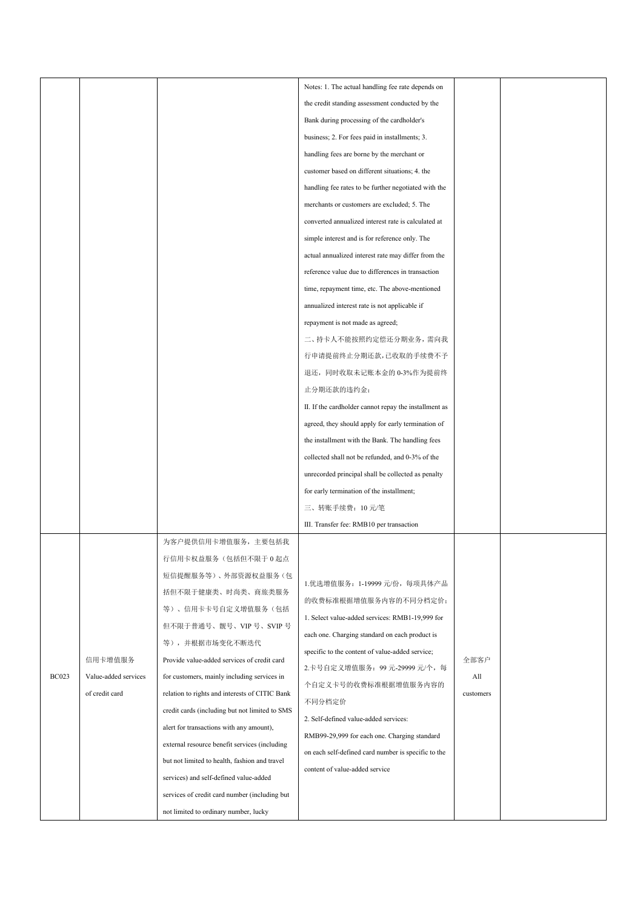|              |                      |                                                | Notes: 1. The actual handling fee rate depends on     |           |  |
|--------------|----------------------|------------------------------------------------|-------------------------------------------------------|-----------|--|
|              |                      |                                                | the credit standing assessment conducted by the       |           |  |
|              |                      |                                                | Bank during processing of the cardholder's            |           |  |
|              |                      |                                                | business; 2. For fees paid in installments; 3.        |           |  |
|              |                      |                                                | handling fees are borne by the merchant or            |           |  |
|              |                      |                                                | customer based on different situations; 4. the        |           |  |
|              |                      |                                                | handling fee rates to be further negotiated with the  |           |  |
|              |                      |                                                | merchants or customers are excluded; 5. The           |           |  |
|              |                      |                                                | converted annualized interest rate is calculated at   |           |  |
|              |                      |                                                | simple interest and is for reference only. The        |           |  |
|              |                      |                                                | actual annualized interest rate may differ from the   |           |  |
|              |                      |                                                | reference value due to differences in transaction     |           |  |
|              |                      |                                                | time, repayment time, etc. The above-mentioned        |           |  |
|              |                      |                                                | annualized interest rate is not applicable if         |           |  |
|              |                      |                                                | repayment is not made as agreed;                      |           |  |
|              |                      |                                                | 二、持卡人不能按照约定偿还分期业务,需向我                                 |           |  |
|              |                      |                                                | 行申请提前终止分期还款,已收取的手续费不予                                 |           |  |
|              |                      |                                                | 退还, 同时收取未记账本金的 0-3%作为提前终                              |           |  |
|              |                      |                                                | 止分期还款的违约金;                                            |           |  |
|              |                      |                                                | II. If the cardholder cannot repay the installment as |           |  |
|              |                      |                                                | agreed, they should apply for early termination of    |           |  |
|              |                      |                                                | the installment with the Bank. The handling fees      |           |  |
|              |                      |                                                | collected shall not be refunded, and 0-3% of the      |           |  |
|              |                      |                                                | unrecorded principal shall be collected as penalty    |           |  |
|              |                      |                                                | for early termination of the installment;             |           |  |
|              |                      |                                                | 三、转账手续费: 10元/笔                                        |           |  |
|              |                      |                                                | III. Transfer fee: RMB10 per transaction              |           |  |
|              |                      | 为客户提供信用卡增值服务, 主要包括我                            |                                                       |           |  |
|              |                      | 行信用卡权益服务(包括但不限于0起点                             |                                                       |           |  |
|              |                      | 短信提醒服务等)、外部资源权益服务(包                            |                                                       |           |  |
|              |                      | 括但不限于健康类、时尚类、商旅类服务                             | 1. 优选增值服务: 1-19999 元/份, 每项具体产品                        |           |  |
|              |                      | 等)、信用卡卡号自定义增值服务(包括                             | 的收费标准根据增值服务内容的不同分档定价;                                 |           |  |
|              |                      | 但不限于普通号、靓号、VIP号、SVIP号                          | 1. Select value-added services: RMB1-19,999 for       |           |  |
|              |                      | 等), 并根据市场变化不断迭代                                | each one. Charging standard on each product is        |           |  |
|              | 信用卡增值服务              | Provide value-added services of credit card    | specific to the content of value-added service;       | 全部客户      |  |
| <b>BC023</b> | Value-added services | for customers, mainly including services in    | 2.卡号自定义增值服务: 99 元-29999 元/个, 每                        | All       |  |
|              | of credit card       | relation to rights and interests of CITIC Bank | 个自定义卡号的收费标准根据增值服务内容的                                  | customers |  |
|              |                      | credit cards (including but not limited to SMS | 不同分档定价                                                |           |  |
|              |                      | alert for transactions with any amount),       | 2. Self-defined value-added services:                 |           |  |
|              |                      | external resource benefit services (including  | RMB99-29,999 for each one. Charging standard          |           |  |
|              |                      | but not limited to health, fashion and travel  | on each self-defined card number is specific to the   |           |  |
|              |                      | services) and self-defined value-added         | content of value-added service                        |           |  |
|              |                      | services of credit card number (including but  |                                                       |           |  |
|              |                      | not limited to ordinary number, lucky          |                                                       |           |  |
|              |                      |                                                |                                                       |           |  |